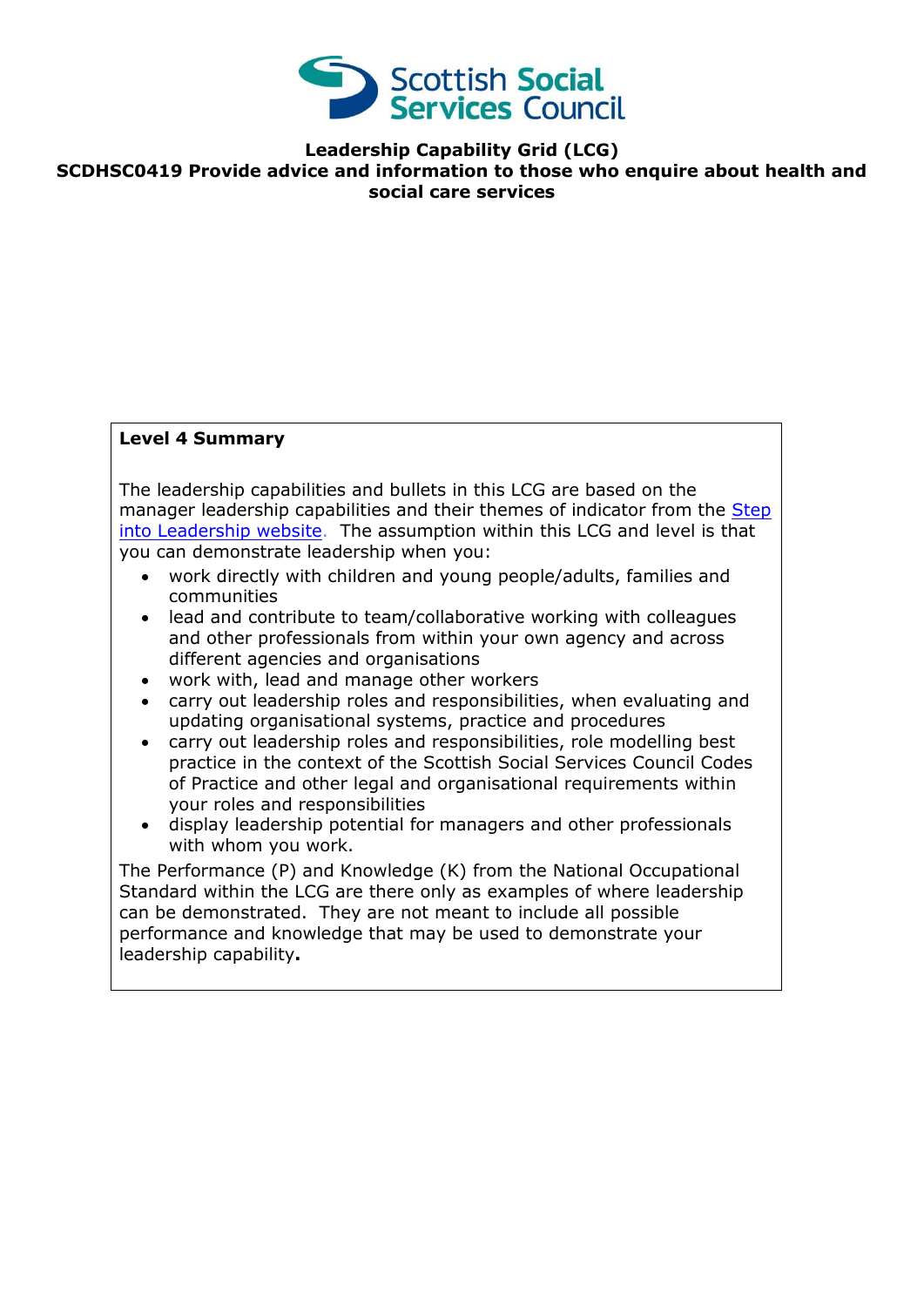

**Leadership Capability Grid (LCG)**

**SCDHSC0419 Provide advice and information to those who enquire about health and social care services**

## **Level 4 Summary**

The leadership capabilities and bullets in this LCG are based on the manager leadership capabilities and their themes of indicator from the [Step](http://www.stepintoleadership.info/)  [into Leadership website.](http://www.stepintoleadership.info/) The assumption within this LCG and level is that you can demonstrate leadership when you:

- work directly with children and young people/adults, families and communities
- lead and contribute to team/collaborative working with colleagues and other professionals from within your own agency and across different agencies and organisations
- work with, lead and manage other workers
- carry out leadership roles and responsibilities, when evaluating and updating organisational systems, practice and procedures
- carry out leadership roles and responsibilities, role modelling best practice in the context of the Scottish Social Services Council Codes of Practice and other legal and organisational requirements within your roles and responsibilities
- display leadership potential for managers and other professionals with whom you work.

The Performance (P) and Knowledge (K) from the National Occupational Standard within the LCG are there only as examples of where leadership can be demonstrated. They are not meant to include all possible performance and knowledge that may be used to demonstrate your leadership capability**.**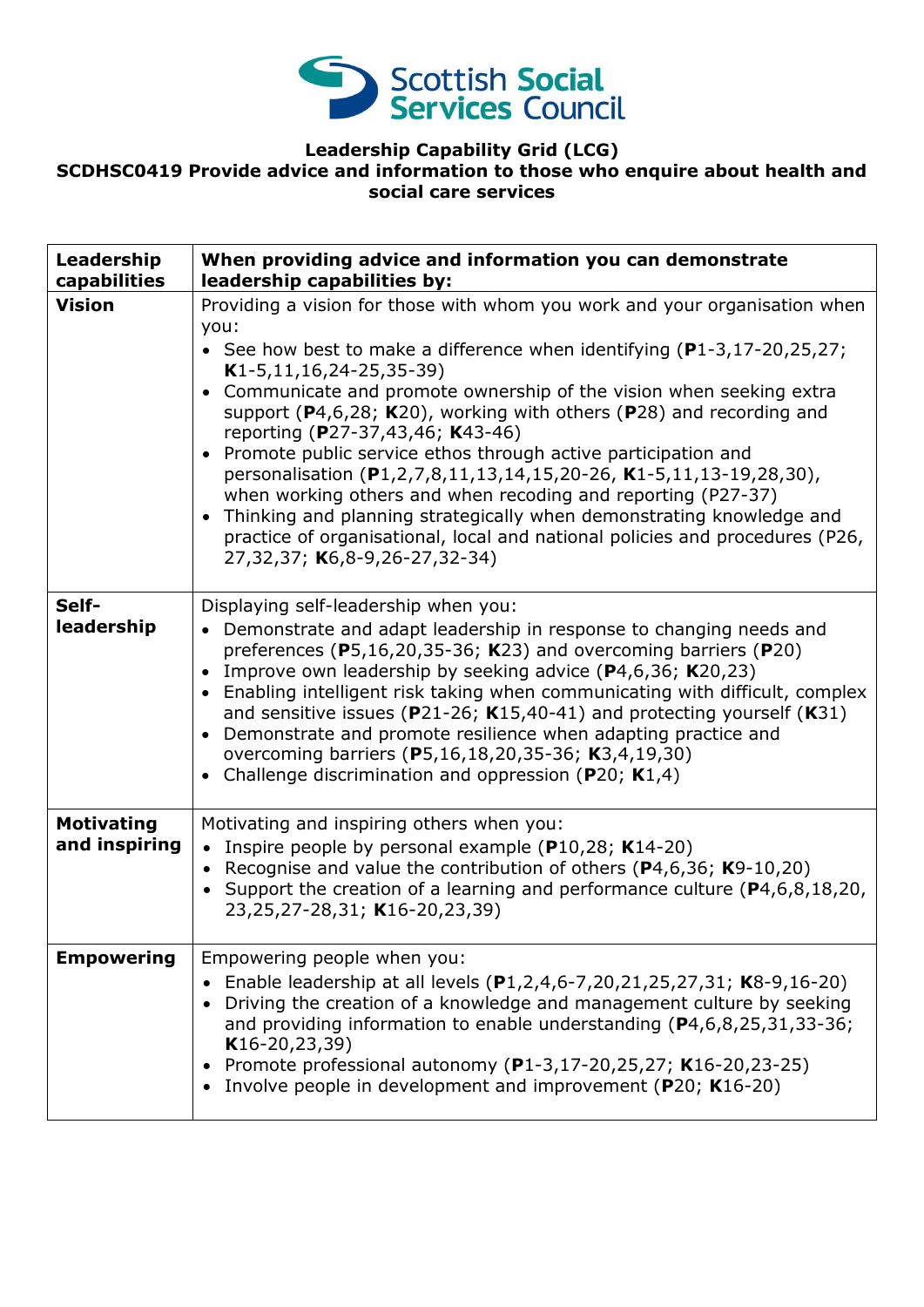

## **Leadership Capability Grid (LCG) SCDHSC0419 Provide advice and information to those who enquire about health and social care services**

| Leadership<br>capabilities         | When providing advice and information you can demonstrate<br>leadership capabilities by:                                                                                                                                                                                                                                                                                                                                                                                                                                                                                                                                                                                                                                                                                                             |
|------------------------------------|------------------------------------------------------------------------------------------------------------------------------------------------------------------------------------------------------------------------------------------------------------------------------------------------------------------------------------------------------------------------------------------------------------------------------------------------------------------------------------------------------------------------------------------------------------------------------------------------------------------------------------------------------------------------------------------------------------------------------------------------------------------------------------------------------|
| <b>Vision</b>                      | Providing a vision for those with whom you work and your organisation when<br>you:<br>• See how best to make a difference when identifying $(P1-3, 17-20, 25, 27)$ ;<br>$K1-5, 11, 16, 24-25, 35-39)$<br>• Communicate and promote ownership of the vision when seeking extra<br>support ( $P$ 4,6,28; K20), working with others ( $P$ 28) and recording and<br>reporting (P27-37,43,46; K43-46)<br>• Promote public service ethos through active participation and<br>personalisation (P1,2,7,8,11,13,14,15,20-26, K1-5,11,13-19,28,30),<br>when working others and when recoding and reporting (P27-37)<br>• Thinking and planning strategically when demonstrating knowledge and<br>practice of organisational, local and national policies and procedures (P26,<br>27,32,37; K6,8-9,26-27,32-34) |
| Self-<br>leadership                | Displaying self-leadership when you:<br>• Demonstrate and adapt leadership in response to changing needs and<br>preferences (P5,16,20,35-36; K23) and overcoming barriers (P20)<br>• Improve own leadership by seeking advice $(P4, 6, 36; K20, 23)$<br>• Enabling intelligent risk taking when communicating with difficult, complex<br>and sensitive issues ( $P$ 21-26; K15,40-41) and protecting yourself (K31)<br>• Demonstrate and promote resilience when adapting practice and<br>overcoming barriers (P5,16,18,20,35-36; K3,4,19,30)<br>• Challenge discrimination and oppression (P20; $K1,4$ )                                                                                                                                                                                            |
| <b>Motivating</b><br>and inspiring | Motivating and inspiring others when you:<br>• Inspire people by personal example ( $P10,28$ ; K14-20)<br>• Recognise and value the contribution of others ( $P$ 4,6,36; K9-10,20)<br>• Support the creation of a learning and performance culture $(P4, 6, 8, 18, 20, 1)$<br>23, 25, 27-28, 31; K16-20, 23, 39)                                                                                                                                                                                                                                                                                                                                                                                                                                                                                     |
| <b>Empowering</b>                  | Empowering people when you:<br>Enable leadership at all levels (P1,2,4,6-7,20,21,25,27,31; K8-9,16-20)<br>$\bullet$<br>Driving the creation of a knowledge and management culture by seeking<br>and providing information to enable understanding (P4,6,8,25,31,33-36;<br>$K16-20, 23, 39)$<br>Promote professional autonomy (P1-3,17-20,25,27; K16-20,23-25)<br>$\bullet$<br>Involve people in development and improvement (P20; K16-20)                                                                                                                                                                                                                                                                                                                                                            |